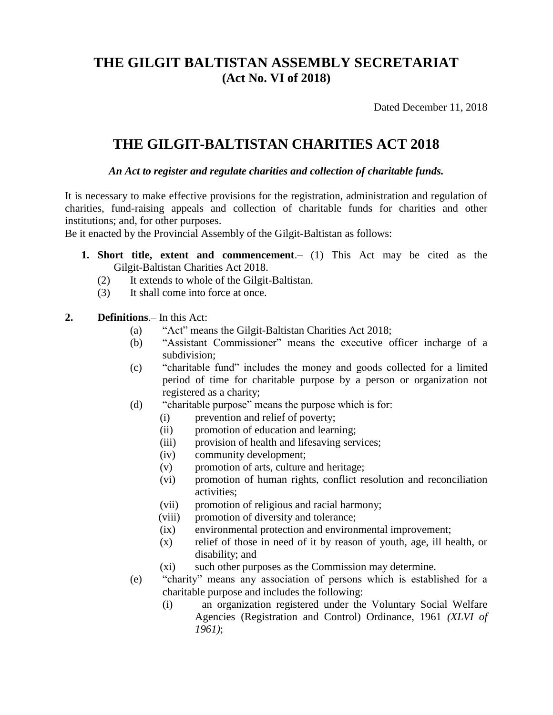## **THE GILGIT BALTISTAN ASSEMBLY SECRETARIAT (Act No. VI of 2018)**

Dated December 11, 2018

## **THE GILGIT-BALTISTAN CHARITIES ACT 2018**

*An Act to register and regulate charities and collection of charitable funds.*

It is necessary to make effective provisions for the registration, administration and regulation of charities, fund-raising appeals and collection of charitable funds for charities and other institutions; and, for other purposes.

Be it enacted by the Provincial Assembly of the Gilgit-Baltistan as follows:

- **1. Short title, extent and commencement**.– (1) This Act may be cited as the Gilgit-Baltistan Charities Act 2018.
	- (2) It extends to whole of the Gilgit-Baltistan.
	- (3) It shall come into force at once.
- **2. Definitions**.– In this Act:
	- (a) "Act" means the Gilgit-Baltistan Charities Act 2018;
	- (b) "Assistant Commissioner" means the executive officer incharge of a subdivision;
	- (c) "charitable fund" includes the money and goods collected for a limited period of time for charitable purpose by a person or organization not registered as a charity;
	- (d) "charitable purpose" means the purpose which is for:
		- (i) prevention and relief of poverty;
		- (ii) promotion of education and learning;
		- (iii) provision of health and lifesaving services;
		- (iv) community development;
		- (v) promotion of arts, culture and heritage;
		- (vi) promotion of human rights, conflict resolution and reconciliation activities;
		- (vii) promotion of religious and racial harmony;
		- (viii) promotion of diversity and tolerance;
		- (ix) environmental protection and environmental improvement;
		- (x) relief of those in need of it by reason of youth, age, ill health, or disability; and
		- (xi) such other purposes as the Commission may determine.
	- (e) "charity" means any association of persons which is established for a charitable purpose and includes the following:
		- (i) an organization registered under the Voluntary Social Welfare Agencies (Registration and Control) Ordinance, 1961 *(XLVI of 1961)*;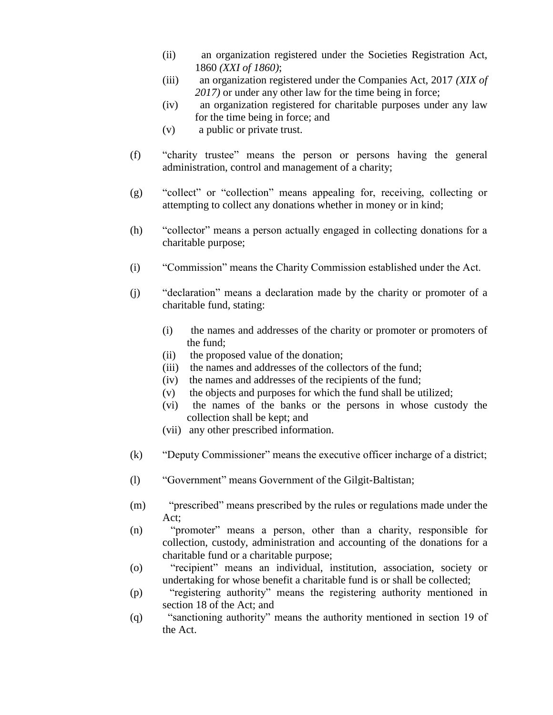- (ii) an organization registered under the Societies Registration Act, 1860 *(XXI of 1860)*;
- (iii) an organization registered under the Companies Act, 2017 *(XIX of 2017)* or under any other law for the time being in force;
- (iv) an organization registered for charitable purposes under any law for the time being in force; and
- (v) a public or private trust.
- (f) "charity trustee" means the person or persons having the general administration, control and management of a charity;
- (g) "collect" or "collection" means appealing for, receiving, collecting or attempting to collect any donations whether in money or in kind;
- (h) "collector" means a person actually engaged in collecting donations for a charitable purpose;
- (i) "Commission" means the Charity Commission established under the Act.
- (j) "declaration" means a declaration made by the charity or promoter of a charitable fund, stating:
	- (i) the names and addresses of the charity or promoter or promoters of the fund;
	- (ii) the proposed value of the donation;
	- (iii) the names and addresses of the collectors of the fund;
	- (iv) the names and addresses of the recipients of the fund;
	- (v) the objects and purposes for which the fund shall be utilized;
	- (vi) the names of the banks or the persons in whose custody the collection shall be kept; and
	- (vii) any other prescribed information.
- (k) "Deputy Commissioner" means the executive officer incharge of a district;
- (l) "Government" means Government of the Gilgit-Baltistan;
- (m) "prescribed" means prescribed by the rules or regulations made under the Act;
- (n) "promoter" means a person, other than a charity, responsible for collection, custody, administration and accounting of the donations for a charitable fund or a charitable purpose;
- (o) "recipient" means an individual, institution, association, society or undertaking for whose benefit a charitable fund is or shall be collected;
- (p) "registering authority" means the registering authority mentioned in section 18 of the Act; and
- (q) "sanctioning authority" means the authority mentioned in section 19 of the Act.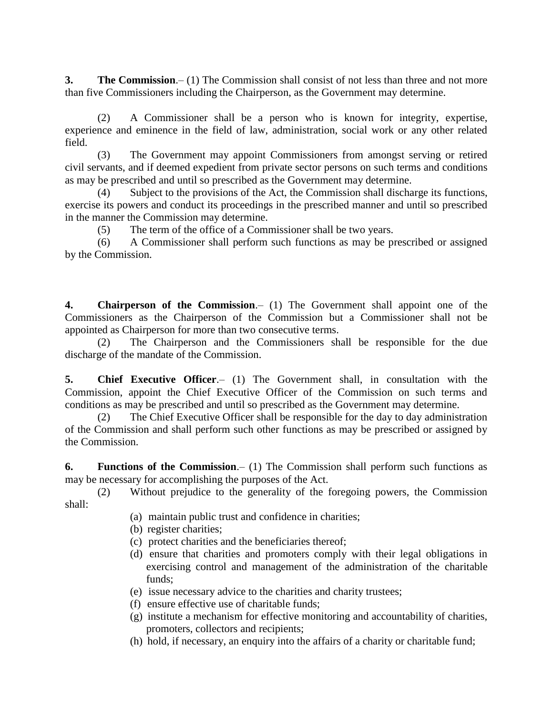**3. The Commission**.– (1) The Commission shall consist of not less than three and not more than five Commissioners including the Chairperson, as the Government may determine.

(2) A Commissioner shall be a person who is known for integrity, expertise, experience and eminence in the field of law, administration, social work or any other related field.

(3) The Government may appoint Commissioners from amongst serving or retired civil servants, and if deemed expedient from private sector persons on such terms and conditions as may be prescribed and until so prescribed as the Government may determine.

(4) Subject to the provisions of the Act, the Commission shall discharge its functions, exercise its powers and conduct its proceedings in the prescribed manner and until so prescribed in the manner the Commission may determine.

(5) The term of the office of a Commissioner shall be two years.

(6) A Commissioner shall perform such functions as may be prescribed or assigned by the Commission.

**4. Chairperson of the Commission**.– (1) The Government shall appoint one of the Commissioners as the Chairperson of the Commission but a Commissioner shall not be appointed as Chairperson for more than two consecutive terms.

(2) The Chairperson and the Commissioners shall be responsible for the due discharge of the mandate of the Commission.

**5. Chief Executive Officer**.– (1) The Government shall, in consultation with the Commission, appoint the Chief Executive Officer of the Commission on such terms and conditions as may be prescribed and until so prescribed as the Government may determine.

(2) The Chief Executive Officer shall be responsible for the day to day administration of the Commission and shall perform such other functions as may be prescribed or assigned by the Commission.

**6. Functions of the Commission**.– (1) The Commission shall perform such functions as may be necessary for accomplishing the purposes of the Act.

(2) Without prejudice to the generality of the foregoing powers, the Commission shall:

- (a) maintain public trust and confidence in charities;
- (b) register charities;
- (c) protect charities and the beneficiaries thereof;
- (d) ensure that charities and promoters comply with their legal obligations in exercising control and management of the administration of the charitable funds;
- (e) issue necessary advice to the charities and charity trustees;
- (f) ensure effective use of charitable funds;
- (g) institute a mechanism for effective monitoring and accountability of charities, promoters, collectors and recipients;
- (h) hold, if necessary, an enquiry into the affairs of a charity or charitable fund;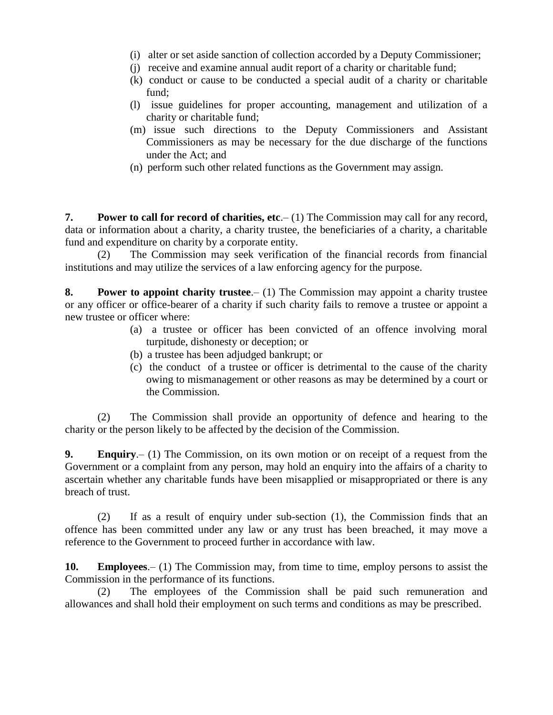- (i) alter or set aside sanction of collection accorded by a Deputy Commissioner;
- (j) receive and examine annual audit report of a charity or charitable fund;
- (k) conduct or cause to be conducted a special audit of a charity or charitable fund;
- (l) issue guidelines for proper accounting, management and utilization of a charity or charitable fund;
- (m) issue such directions to the Deputy Commissioners and Assistant Commissioners as may be necessary for the due discharge of the functions under the Act; and
- (n) perform such other related functions as the Government may assign.

**7. Power to call for record of charities, etc.** (1) The Commission may call for any record, data or information about a charity, a charity trustee, the beneficiaries of a charity, a charitable fund and expenditure on charity by a corporate entity.

(2) The Commission may seek verification of the financial records from financial institutions and may utilize the services of a law enforcing agency for the purpose.

**8. Power to appoint charity trustee**.– (1) The Commission may appoint a charity trustee or any officer or office-bearer of a charity if such charity fails to remove a trustee or appoint a new trustee or officer where:

- (a) a trustee or officer has been convicted of an offence involving moral turpitude, dishonesty or deception; or
- (b) a trustee has been adjudged bankrupt; or
- (c) the conduct of a trustee or officer is detrimental to the cause of the charity owing to mismanagement or other reasons as may be determined by a court or the Commission.

(2) The Commission shall provide an opportunity of defence and hearing to the charity or the person likely to be affected by the decision of the Commission.

**9. Enquiry**.– (1) The Commission, on its own motion or on receipt of a request from the Government or a complaint from any person, may hold an enquiry into the affairs of a charity to ascertain whether any charitable funds have been misapplied or misappropriated or there is any breach of trust.

(2) If as a result of enquiry under sub-section (1), the Commission finds that an offence has been committed under any law or any trust has been breached, it may move a reference to the Government to proceed further in accordance with law.

**10. Employees**.– (1) The Commission may, from time to time, employ persons to assist the Commission in the performance of its functions.

(2) The employees of the Commission shall be paid such remuneration and allowances and shall hold their employment on such terms and conditions as may be prescribed.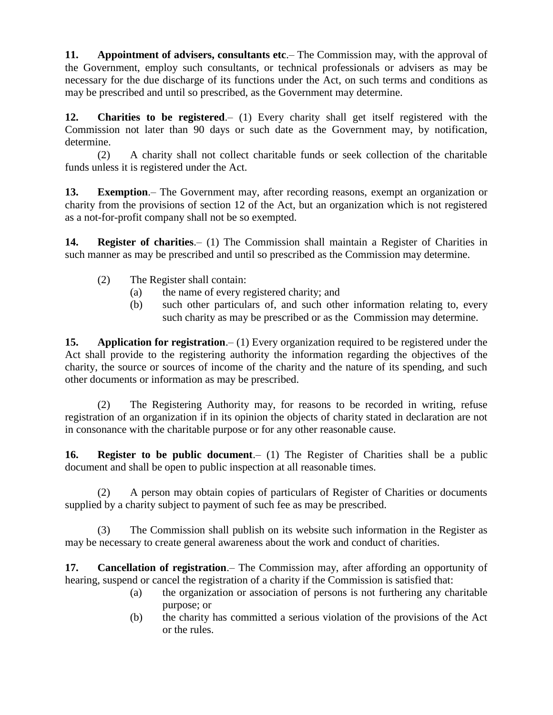**11. Appointment of advisers, consultants etc**.– The Commission may, with the approval of the Government, employ such consultants, or technical professionals or advisers as may be necessary for the due discharge of its functions under the Act, on such terms and conditions as may be prescribed and until so prescribed, as the Government may determine.

**12. Charities to be registered**.– (1) Every charity shall get itself registered with the Commission not later than 90 days or such date as the Government may, by notification, determine.

(2) A charity shall not collect charitable funds or seek collection of the charitable funds unless it is registered under the Act.

**13. Exemption**.– The Government may, after recording reasons, exempt an organization or charity from the provisions of section 12 of the Act, but an organization which is not registered as a not-for-profit company shall not be so exempted.

**14. Register of charities**.– (1) The Commission shall maintain a Register of Charities in such manner as may be prescribed and until so prescribed as the Commission may determine.

- (2) The Register shall contain:
	- (a) the name of every registered charity; and
	- (b) such other particulars of, and such other information relating to, every such charity as may be prescribed or as the Commission may determine.

**15. Application for registration**.– (1) Every organization required to be registered under the Act shall provide to the registering authority the information regarding the objectives of the charity, the source or sources of income of the charity and the nature of its spending, and such other documents or information as may be prescribed.

(2) The Registering Authority may, for reasons to be recorded in writing, refuse registration of an organization if in its opinion the objects of charity stated in declaration are not in consonance with the charitable purpose or for any other reasonable cause.

**16. Register to be public document**.– (1) The Register of Charities shall be a public document and shall be open to public inspection at all reasonable times.

(2) A person may obtain copies of particulars of Register of Charities or documents supplied by a charity subject to payment of such fee as may be prescribed.

(3) The Commission shall publish on its website such information in the Register as may be necessary to create general awareness about the work and conduct of charities.

**17. Cancellation of registration**.– The Commission may, after affording an opportunity of hearing, suspend or cancel the registration of a charity if the Commission is satisfied that:

- (a) the organization or association of persons is not furthering any charitable purpose; or
- (b) the charity has committed a serious violation of the provisions of the Act or the rules.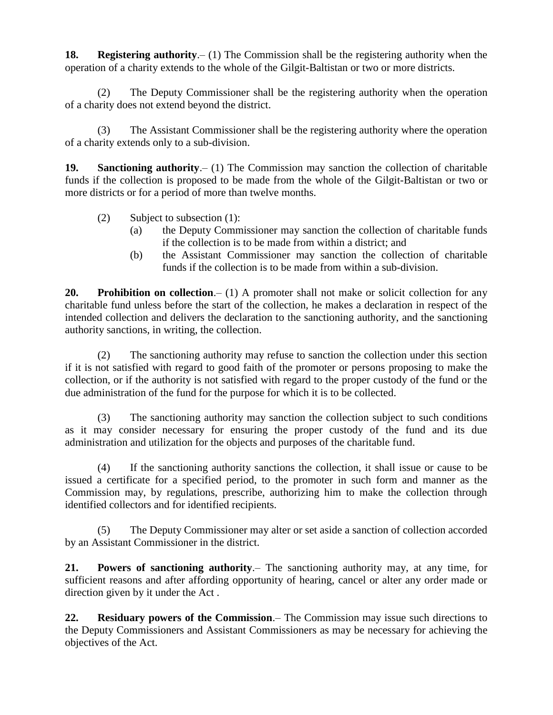**18. Registering authority**.– (1) The Commission shall be the registering authority when the operation of a charity extends to the whole of the Gilgit-Baltistan or two or more districts.

(2) The Deputy Commissioner shall be the registering authority when the operation of a charity does not extend beyond the district.

(3) The Assistant Commissioner shall be the registering authority where the operation of a charity extends only to a sub-division.

**19. Sanctioning authority**.– (1) The Commission may sanction the collection of charitable funds if the collection is proposed to be made from the whole of the Gilgit-Baltistan or two or more districts or for a period of more than twelve months.

- (2) Subject to subsection (1):
	- (a) the Deputy Commissioner may sanction the collection of charitable funds if the collection is to be made from within a district; and
	- (b) the Assistant Commissioner may sanction the collection of charitable funds if the collection is to be made from within a sub-division.

**20. Prohibition on collection**.– (1) A promoter shall not make or solicit collection for any charitable fund unless before the start of the collection, he makes a declaration in respect of the intended collection and delivers the declaration to the sanctioning authority, and the sanctioning authority sanctions, in writing, the collection.

(2) The sanctioning authority may refuse to sanction the collection under this section if it is not satisfied with regard to good faith of the promoter or persons proposing to make the collection, or if the authority is not satisfied with regard to the proper custody of the fund or the due administration of the fund for the purpose for which it is to be collected.

(3) The sanctioning authority may sanction the collection subject to such conditions as it may consider necessary for ensuring the proper custody of the fund and its due administration and utilization for the objects and purposes of the charitable fund.

(4) If the sanctioning authority sanctions the collection, it shall issue or cause to be issued a certificate for a specified period, to the promoter in such form and manner as the Commission may, by regulations, prescribe, authorizing him to make the collection through identified collectors and for identified recipients.

(5) The Deputy Commissioner may alter or set aside a sanction of collection accorded by an Assistant Commissioner in the district.

**21. Powers of sanctioning authority**.– The sanctioning authority may, at any time, for sufficient reasons and after affording opportunity of hearing, cancel or alter any order made or direction given by it under the Act .

**22. Residuary powers of the Commission**.– The Commission may issue such directions to the Deputy Commissioners and Assistant Commissioners as may be necessary for achieving the objectives of the Act.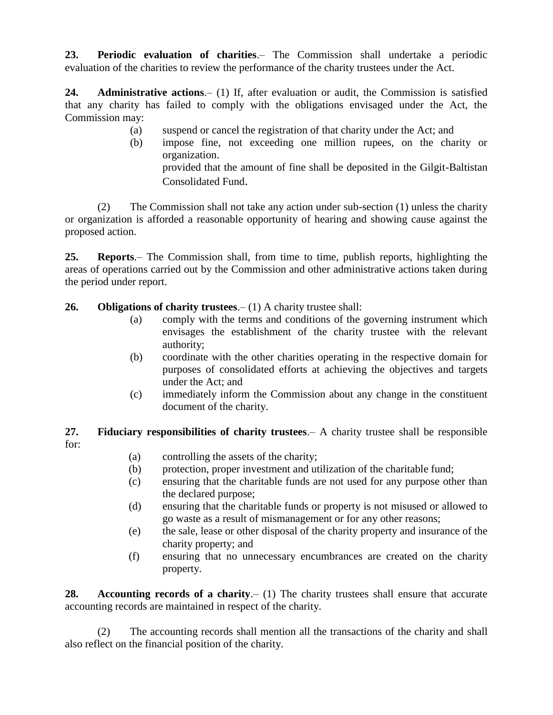**23. Periodic evaluation of charities**.– The Commission shall undertake a periodic evaluation of the charities to review the performance of the charity trustees under the Act.

**24. Administrative actions**.– (1) If, after evaluation or audit, the Commission is satisfied that any charity has failed to comply with the obligations envisaged under the Act, the Commission may:

- (a) suspend or cancel the registration of that charity under the Act; and
- (b) impose fine, not exceeding one million rupees, on the charity or organization. provided that the amount of fine shall be deposited in the Gilgit-Baltistan

Consolidated Fund.

(2) The Commission shall not take any action under sub-section (1) unless the charity or organization is afforded a reasonable opportunity of hearing and showing cause against the proposed action.

**25. Reports**.– The Commission shall, from time to time, publish reports, highlighting the areas of operations carried out by the Commission and other administrative actions taken during the period under report.

**26. Obligations of charity trustees**.– (1) A charity trustee shall:

- (a) comply with the terms and conditions of the governing instrument which envisages the establishment of the charity trustee with the relevant authority;
- (b) coordinate with the other charities operating in the respective domain for purposes of consolidated efforts at achieving the objectives and targets under the Act; and
- (c) immediately inform the Commission about any change in the constituent document of the charity.

**27. Fiduciary responsibilities of charity trustees**.– A charity trustee shall be responsible for:

- (a) controlling the assets of the charity;
- (b) protection, proper investment and utilization of the charitable fund;
- (c) ensuring that the charitable funds are not used for any purpose other than the declared purpose;
- (d) ensuring that the charitable funds or property is not misused or allowed to go waste as a result of mismanagement or for any other reasons;
- (e) the sale, lease or other disposal of the charity property and insurance of the charity property; and
- (f) ensuring that no unnecessary encumbrances are created on the charity property.

**28. Accounting records of a charity**.– (1) The charity trustees shall ensure that accurate accounting records are maintained in respect of the charity.

(2) The accounting records shall mention all the transactions of the charity and shall also reflect on the financial position of the charity.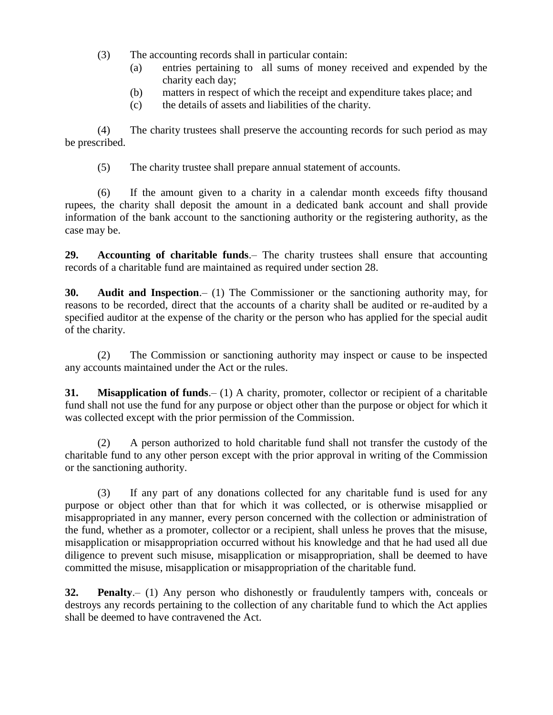- (3) The accounting records shall in particular contain:
	- (a) entries pertaining to all sums of money received and expended by the charity each day;
	- (b) matters in respect of which the receipt and expenditure takes place; and
	- (c) the details of assets and liabilities of the charity.

(4) The charity trustees shall preserve the accounting records for such period as may be prescribed.

(5) The charity trustee shall prepare annual statement of accounts.

(6) If the amount given to a charity in a calendar month exceeds fifty thousand rupees, the charity shall deposit the amount in a dedicated bank account and shall provide information of the bank account to the sanctioning authority or the registering authority, as the case may be.

**29. Accounting of charitable funds**.– The charity trustees shall ensure that accounting records of a charitable fund are maintained as required under section 28.

**30. Audit and Inspection**.– (1) The Commissioner or the sanctioning authority may, for reasons to be recorded, direct that the accounts of a charity shall be audited or re-audited by a specified auditor at the expense of the charity or the person who has applied for the special audit of the charity.

(2) The Commission or sanctioning authority may inspect or cause to be inspected any accounts maintained under the Act or the rules.

**31. Misapplication of funds**.– (1) A charity, promoter, collector or recipient of a charitable fund shall not use the fund for any purpose or object other than the purpose or object for which it was collected except with the prior permission of the Commission.

(2) A person authorized to hold charitable fund shall not transfer the custody of the charitable fund to any other person except with the prior approval in writing of the Commission or the sanctioning authority.

(3) If any part of any donations collected for any charitable fund is used for any purpose or object other than that for which it was collected, or is otherwise misapplied or misappropriated in any manner, every person concerned with the collection or administration of the fund, whether as a promoter, collector or a recipient, shall unless he proves that the misuse, misapplication or misappropriation occurred without his knowledge and that he had used all due diligence to prevent such misuse, misapplication or misappropriation, shall be deemed to have committed the misuse, misapplication or misappropriation of the charitable fund.

**32. Penalty**.– (1) Any person who dishonestly or fraudulently tampers with, conceals or destroys any records pertaining to the collection of any charitable fund to which the Act applies shall be deemed to have contravened the Act.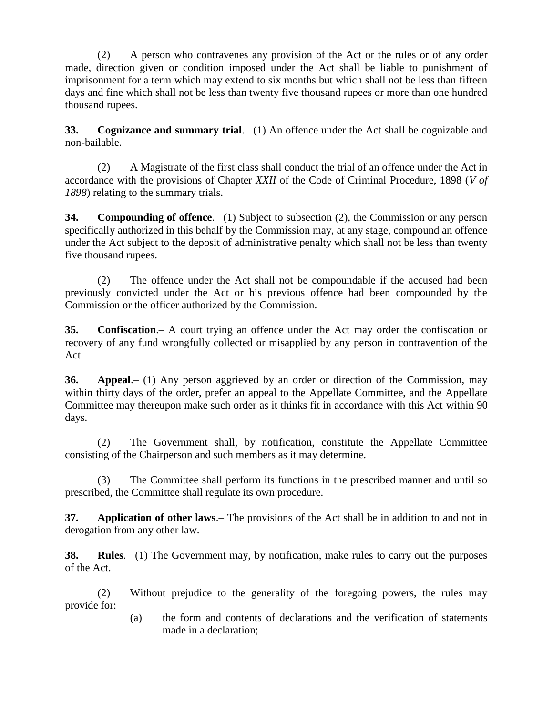(2) A person who contravenes any provision of the Act or the rules or of any order made, direction given or condition imposed under the Act shall be liable to punishment of imprisonment for a term which may extend to six months but which shall not be less than fifteen days and fine which shall not be less than twenty five thousand rupees or more than one hundred thousand rupees.

**33. Cognizance and summary trial**.– (1) An offence under the Act shall be cognizable and non-bailable.

(2) A Magistrate of the first class shall conduct the trial of an offence under the Act in accordance with the provisions of Chapter *XXII* of the Code of Criminal Procedure, 1898 (*V of 1898*) relating to the summary trials.

**34. Compounding of offence**.– (1) Subject to subsection (2), the Commission or any person specifically authorized in this behalf by the Commission may, at any stage, compound an offence under the Act subject to the deposit of administrative penalty which shall not be less than twenty five thousand rupees.

(2) The offence under the Act shall not be compoundable if the accused had been previously convicted under the Act or his previous offence had been compounded by the Commission or the officer authorized by the Commission.

**35. Confiscation**.– A court trying an offence under the Act may order the confiscation or recovery of any fund wrongfully collected or misapplied by any person in contravention of the Act.

**36. Appeal**.– (1) Any person aggrieved by an order or direction of the Commission, may within thirty days of the order, prefer an appeal to the Appellate Committee, and the Appellate Committee may thereupon make such order as it thinks fit in accordance with this Act within 90 days.

(2) The Government shall, by notification, constitute the Appellate Committee consisting of the Chairperson and such members as it may determine.

(3) The Committee shall perform its functions in the prescribed manner and until so prescribed, the Committee shall regulate its own procedure.

**37. Application of other laws**.– The provisions of the Act shall be in addition to and not in derogation from any other law.

**38. Rules**.– (1) The Government may, by notification, make rules to carry out the purposes of the Act.

(2) Without prejudice to the generality of the foregoing powers, the rules may provide for:

> (a) the form and contents of declarations and the verification of statements made in a declaration;